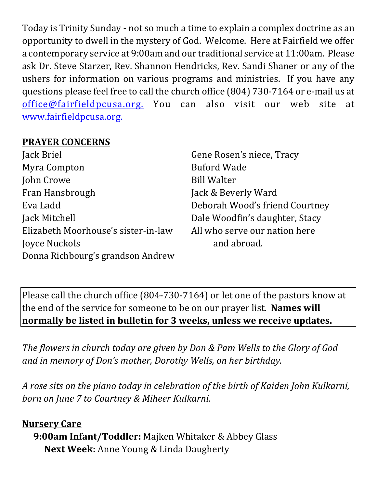Today is Trinity Sunday - not so much a time to explain a complex doctrine as an opportunity to dwell in the mystery of God. Welcome. Here at Fairfield we offer a contemporary service at 9:00am and our traditional service at 11:00am. Please ask Dr. Steve Starzer, Rev. Shannon Hendricks, Rev. Sandi Shaner or any of the ushers for information on various programs and ministries. If you have any questions please feel free to call the church office (804) 730-7164 or e-mail us at office@fairfieldpcusa.org. You can also visit our web site at www.fairfieldpcusa.org.

## **PRAYER CONCERNS**

Jack Briel Myra Compton John Crowe Fran Hansbrough Eva Ladd Jack Mitchell Elizabeth Moorhouse's sister-in-law Joyce Nuckols Donna Richbourg's grandson Andrew

Gene Rosen's niece, Tracy Buford Wade Bill Walter Jack & Beverly Ward Deborah Wood's friend Courtney Dale Woodfin's daughter, Stacy All who serve our nation here and abroad.

Please call the church office (804-730-7164) or let one of the pastors know at the end of the service for someone to be on our prayer list. **Names will normally be listed in bulletin for 3 weeks, unless we receive updates.**

*The flowers in church today are given by Don & Pam Wells to the Glory of God and in memory of Don's mother, Dorothy Wells, on her birthday.*

*A rose sits on the piano today in celebration of the birth of Kaiden John Kulkarni, born on June 7 to Courtney & Miheer Kulkarni.*

**Nursery Care 9:00am Infant/Toddler:** Majken Whitaker & Abbey Glass **Next Week:** Anne Young & Linda Daugherty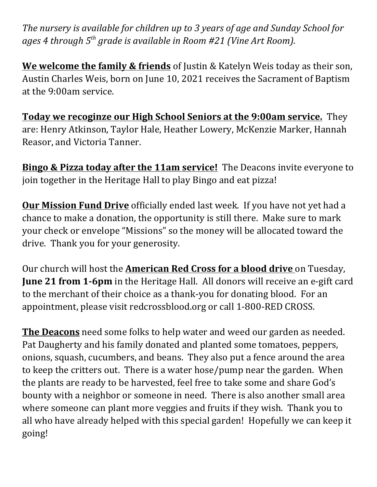*The nursery is available for children up to 3 years of age and Sunday School for ages 4 through 5th grade is available in Room #21 (Vine Art Room).*

**We welcome the family & friends** of Justin & Katelyn Weis today as their son, Austin Charles Weis, born on June 10, 2021 receives the Sacrament of Baptism at the 9:00am service.

**Today we recoginze our High School Seniors at the 9:00am service.** They are: Henry Atkinson, Taylor Hale, Heather Lowery, McKenzie Marker, Hannah Reasor, and Victoria Tanner.

**Bingo & Pizza today after the 11am service!** The Deacons invite everyone to join together in the Heritage Hall to play Bingo and eat pizza!

**Our Mission Fund Drive** officially ended last week. If you have not yet had a chance to make a donation, the opportunity is still there. Make sure to mark your check or envelope "Missions" so the money will be allocated toward the drive. Thank you for your generosity.

Our church will host the **American Red Cross for a blood drive** on Tuesday, **June 21 from 1‐6pm** in the Heritage Hall. All donors will receive an e-gift card to the merchant of their choice as a thank-you for donating blood. For an appointment, please visit redcrossblood.org or call 1-800-RED CROSS.

**The Deacons** need some folks to help water and weed our garden as needed. Pat Daugherty and his family donated and planted some tomatoes, peppers, onions, squash, cucumbers, and beans. They also put a fence around the area to keep the critters out. There is a water hose/pump near the garden. When the plants are ready to be harvested, feel free to take some and share God's bounty with a neighbor or someone in need. There is also another small area where someone can plant more veggies and fruits if they wish. Thank you to all who have already helped with this special garden! Hopefully we can keep it going!